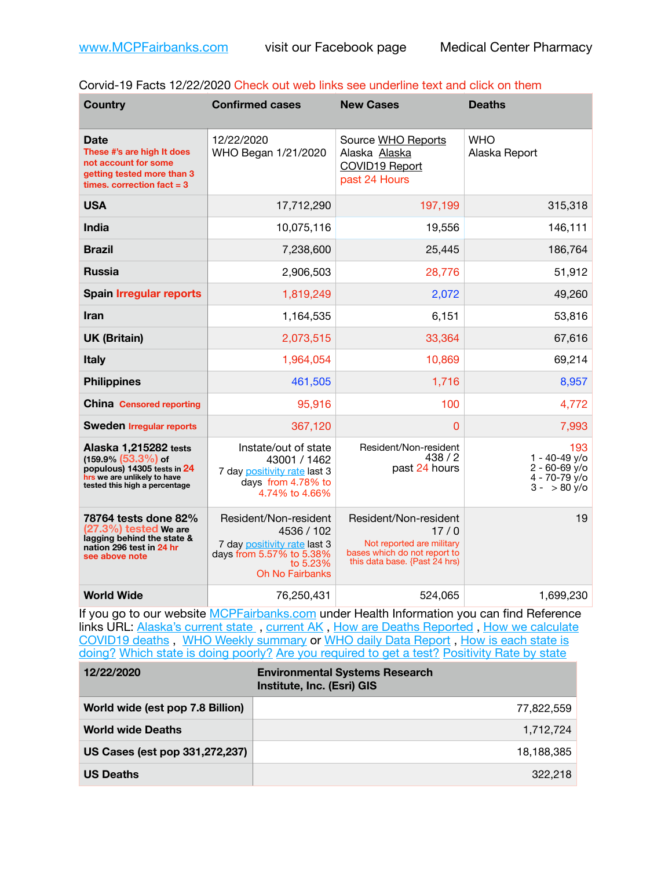|  |  | Corvid-19 Facts 12/22/2020 Check out web links see underline text and click on them |
|--|--|-------------------------------------------------------------------------------------|
|--|--|-------------------------------------------------------------------------------------|

| <b>Country</b>                                                                                                                                 | <b>Confirmed cases</b>                                                                                                                | <b>New Cases</b>                                                                                                            | <b>Deaths</b>                                                                              |
|------------------------------------------------------------------------------------------------------------------------------------------------|---------------------------------------------------------------------------------------------------------------------------------------|-----------------------------------------------------------------------------------------------------------------------------|--------------------------------------------------------------------------------------------|
| Date<br>These #'s are high It does<br>not account for some<br>getting tested more than 3<br>times, correction fact $=$ 3                       | 12/22/2020<br>WHO Began 1/21/2020                                                                                                     | Source WHO Reports<br>Alaska Alaska<br>COVID19 Report<br>past 24 Hours                                                      | <b>WHO</b><br>Alaska Report                                                                |
| <b>USA</b>                                                                                                                                     | 17,712,290                                                                                                                            | 197,199                                                                                                                     | 315,318                                                                                    |
| <b>India</b>                                                                                                                                   | 10,075,116                                                                                                                            | 19,556                                                                                                                      | 146,111                                                                                    |
| <b>Brazil</b>                                                                                                                                  | 7,238,600                                                                                                                             | 25,445                                                                                                                      | 186,764                                                                                    |
| <b>Russia</b>                                                                                                                                  | 2,906,503                                                                                                                             | 28,776                                                                                                                      | 51,912                                                                                     |
| <b>Spain Irregular reports</b>                                                                                                                 | 1,819,249                                                                                                                             | 2,072                                                                                                                       | 49,260                                                                                     |
| <b>Iran</b>                                                                                                                                    | 1,164,535                                                                                                                             | 6,151                                                                                                                       | 53,816                                                                                     |
| <b>UK (Britain)</b>                                                                                                                            | 2,073,515                                                                                                                             | 33,364                                                                                                                      | 67,616                                                                                     |
| <b>Italy</b>                                                                                                                                   | 1,964,054                                                                                                                             | 10,869                                                                                                                      | 69,214                                                                                     |
| <b>Philippines</b>                                                                                                                             | 461,505                                                                                                                               | 1,716                                                                                                                       | 8,957                                                                                      |
| <b>China Censored reporting</b>                                                                                                                | 95,916                                                                                                                                | 100                                                                                                                         | 4,772                                                                                      |
| <b>Sweden Irregular reports</b>                                                                                                                | 367,120                                                                                                                               | 0                                                                                                                           | 7,993                                                                                      |
| Alaska 1,215282 tests<br>$(159.9\% (53.3\%)$ of<br>populous) 14305 tests in 24<br>hrs we are unlikely to have<br>tested this high a percentage | Instate/out of state<br>43001 / 1462<br>7 day positivity rate last 3<br>days from 4.78% to<br>4.74% to 4.66%                          | Resident/Non-resident<br>438/2<br>past 24 hours                                                                             | 193<br>$1 - 40 - 49$ y/o<br>$2 - 60 - 69$ y/o<br>$4 - 70 - 79$ y/o<br>$3 - 80 \text{ y/o}$ |
| 78764 tests done 82%<br>$(27.3\%)$ tested We are<br>lagging behind the state &<br>nation 296 test in 24 hr<br>see above note                   | Resident/Non-resident<br>4536 / 102<br>7 day positivity rate last 3<br>days from 5.57% to 5.38%<br>to 5.23%<br><b>Oh No Fairbanks</b> | Resident/Non-resident<br>17/0<br>Not reported are military<br>bases which do not report to<br>this data base. {Past 24 hrs) | 19                                                                                         |
| <b>World Wide</b>                                                                                                                              | 76,250,431                                                                                                                            | 524,065                                                                                                                     | 1,699,230                                                                                  |

If you go to our website **[MCPFairbanks.com](http://www.MCPFairbanks.com)** under Health Information you can find Reference links URL: Alaska's current state, current AK, [How are Deaths Reported](http://dhss.alaska.gov/dph/Epi/id/Pages/COVID-19/deathcounts.aspx), How we calculate [COVID19 deaths](https://coronavirus-response-alaska-dhss.hub.arcgis.com/search?collection=Document&groupIds=41ccb3344ebc4bd682c74073eba21f42) , [WHO Weekly summary](http://www.who.int) or [WHO daily Data Report](https://covid19.who.int/table) , [How is each state is](https://www.msn.com/en-us/news/us/state-by-state-coronavirus-news/ar-BB13E1PX?fbclid=IwAR0_OBJH7lSyTN3ug_MsOeFnNgB1orTa9OBgilKJ7dhnwlVvHEsptuKkj1c)  [doing?](https://www.msn.com/en-us/news/us/state-by-state-coronavirus-news/ar-BB13E1PX?fbclid=IwAR0_OBJH7lSyTN3ug_MsOeFnNgB1orTa9OBgilKJ7dhnwlVvHEsptuKkj1c) [Which state is doing poorly?](https://bestlifeonline.com/covid-outbreak-your-state/?utm_source=nsltr&utm_medium=email&utm_content=covid-outbreak-your-state&utm_campaign=launch) [Are you required to get a test?](http://dhss.alaska.gov/dph/Epi/id/SiteAssets/Pages/HumanCoV/Whattodoafteryourtest.pdf) [Positivity Rate by state](https://coronavirus.jhu.edu/testing/individual-states/alaska)

| 12/22/2020                       | <b>Environmental Systems Research</b><br>Institute, Inc. (Esri) GIS |
|----------------------------------|---------------------------------------------------------------------|
| World wide (est pop 7.8 Billion) | 77,822,559                                                          |
| <b>World wide Deaths</b>         | 1,712,724                                                           |
| US Cases (est pop 331,272,237)   | 18,188,385                                                          |
| <b>US Deaths</b>                 | 322.218                                                             |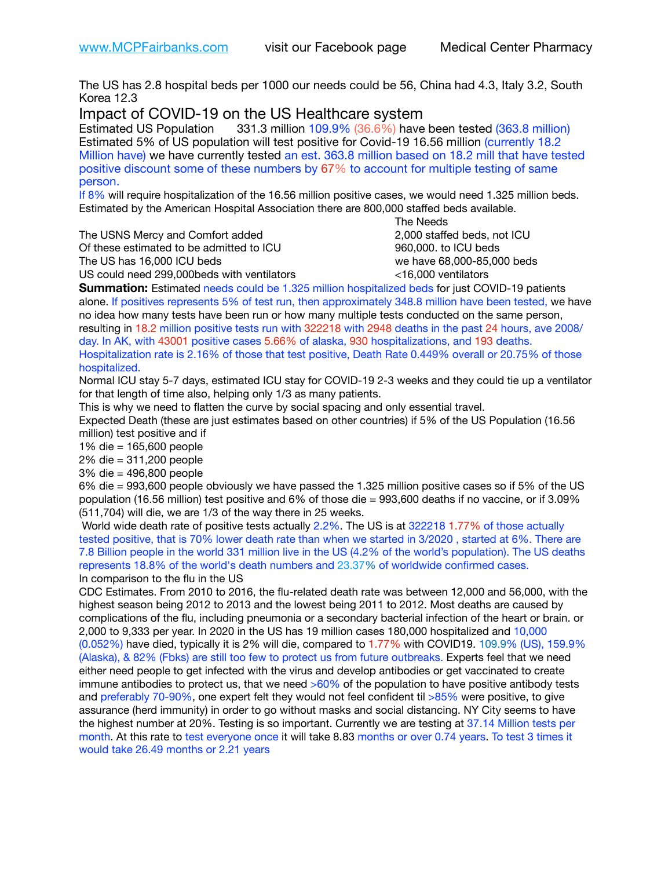The US has 2.8 hospital beds per 1000 our needs could be 56, China had 4.3, Italy 3.2, South Korea 12.3

Impact of COVID-19 on the US Healthcare system

Estimated US Population 331.3 million 109.9% (36.6%) have been tested (363.8 million) Estimated 5% of US population will test positive for Covid-19 16.56 million (currently 18.2 Million have) we have currently tested an est. 363.8 million based on 18.2 mill that have tested positive discount some of these numbers by 67% to account for multiple testing of same person.

If 8% will require hospitalization of the 16.56 million positive cases, we would need 1.325 million beds. Estimated by the American Hospital Association there are 800,000 staffed beds available. 

The USNS Mercy and Comfort added 2,000 staffed beds, not ICU

Of these estimated to be admitted to ICU 960,000. to ICU beds The US has 16,000 ICU beds we have 68,000-85,000 beds ve have 68,000-85,000 beds

 The Needs US could need 299,000beds with ventilators <16,000 ventilators

**Summation:** Estimated needs could be 1.325 million hospitalized beds for just COVID-19 patients alone. If positives represents 5% of test run, then approximately 348.8 million have been tested, we have no idea how many tests have been run or how many multiple tests conducted on the same person, resulting in 18.2 million positive tests run with 322218 with 2948 deaths in the past 24 hours, ave 2008/ day. In AK, with 43001 positive cases 5.66% of alaska, 930 hospitalizations, and 193 deaths. Hospitalization rate is 2.16% of those that test positive, Death Rate 0.449% overall or 20.75% of those hospitalized.

Normal ICU stay 5-7 days, estimated ICU stay for COVID-19 2-3 weeks and they could tie up a ventilator for that length of time also, helping only 1/3 as many patients.

This is why we need to flatten the curve by social spacing and only essential travel.

Expected Death (these are just estimates based on other countries) if 5% of the US Population (16.56 million) test positive and if

1% die = 165,600 people

2% die = 311,200 people

3% die = 496,800 people

6% die = 993,600 people obviously we have passed the 1.325 million positive cases so if 5% of the US population (16.56 million) test positive and 6% of those die = 993,600 deaths if no vaccine, or if 3.09% (511,704) will die, we are 1/3 of the way there in 25 weeks.

 World wide death rate of positive tests actually 2.2%. The US is at 322218 1.77% of those actually tested positive, that is 70% lower death rate than when we started in 3/2020 , started at 6%. There are 7.8 Billion people in the world 331 million live in the US (4.2% of the world's population). The US deaths represents 18.8% of the world's death numbers and 23.37% of worldwide confirmed cases. In comparison to the flu in the US

CDC Estimates. From 2010 to 2016, the flu-related death rate was between 12,000 and 56,000, with the highest season being 2012 to 2013 and the lowest being 2011 to 2012. Most deaths are caused by complications of the flu, including pneumonia or a secondary bacterial infection of the heart or brain. or 2,000 to 9,333 per year. In 2020 in the US has 19 million cases 180,000 hospitalized and 10,000 (0.052%) have died, typically it is 2% will die, compared to 1.77% with COVID19. 109.9% (US), 159.9% (Alaska), & 82% (Fbks) are still too few to protect us from future outbreaks. Experts feel that we need either need people to get infected with the virus and develop antibodies or get vaccinated to create immune antibodies to protect us, that we need  $>60\%$  of the population to have positive antibody tests and preferably 70-90%, one expert felt they would not feel confident til >85% were positive, to give assurance (herd immunity) in order to go without masks and social distancing. NY City seems to have the highest number at 20%. Testing is so important. Currently we are testing at 37.14 Million tests per month. At this rate to test everyone once it will take 8.83 months or over 0.74 years. To test 3 times it would take 26.49 months or 2.21 years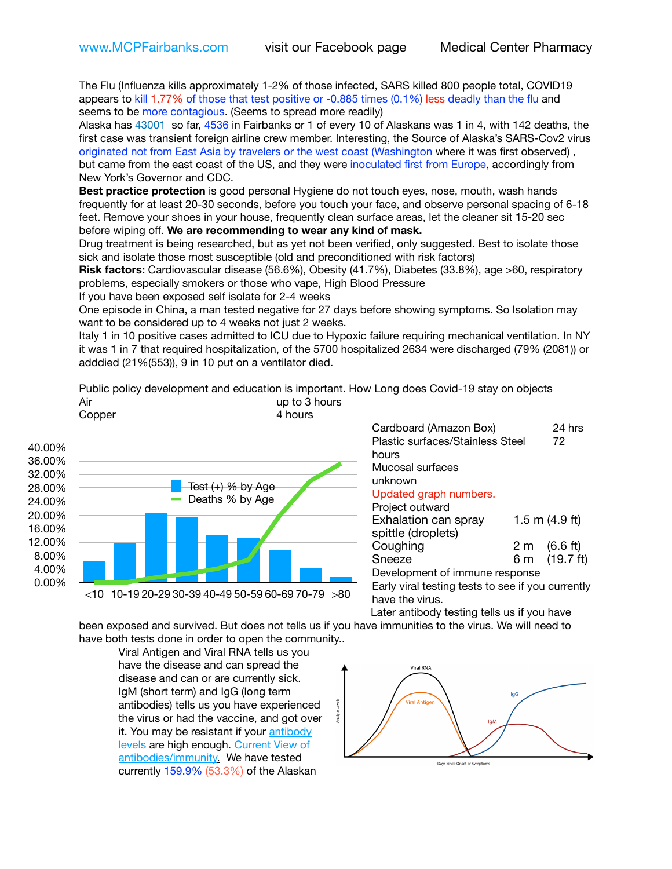The Flu (Influenza kills approximately 1-2% of those infected, SARS killed 800 people total, COVID19 appears to kill 1.77% of those that test positive or -0.885 times (0.1%) less deadly than the flu and seems to be more contagious. (Seems to spread more readily)

Alaska has 43001 so far, 4536 in Fairbanks or 1 of every 10 of Alaskans was 1 in 4, with 142 deaths, the first case was transient foreign airline crew member. Interesting, the Source of Alaska's SARS-Cov2 virus originated not from East Asia by travelers or the west coast (Washington where it was first observed) , but came from the east coast of the US, and they were inoculated first from Europe, accordingly from New York's Governor and CDC.

**Best practice protection** is good personal Hygiene do not touch eyes, nose, mouth, wash hands frequently for at least 20-30 seconds, before you touch your face, and observe personal spacing of 6-18 feet. Remove your shoes in your house, frequently clean surface areas, let the cleaner sit 15-20 sec before wiping off. **We are recommending to wear any kind of mask.**

Drug treatment is being researched, but as yet not been verified, only suggested. Best to isolate those sick and isolate those most susceptible (old and preconditioned with risk factors)

**Risk factors:** Cardiovascular disease (56.6%), Obesity (41.7%), Diabetes (33.8%), age >60, respiratory problems, especially smokers or those who vape, High Blood Pressure

If you have been exposed self isolate for 2-4 weeks

One episode in China, a man tested negative for 27 days before showing symptoms. So Isolation may want to be considered up to 4 weeks not just 2 weeks.

Italy 1 in 10 positive cases admitted to ICU due to Hypoxic failure requiring mechanical ventilation. In NY it was 1 in 7 that required hospitalization, of the 5700 hospitalized 2634 were discharged (79% (2081)) or adddied (21%(553)), 9 in 10 put on a ventilator died.

Public policy development and education is important. How Long does Covid-19 stay on objects Air and the state of the state of the state of the state of the state of the state of the state of the state of the state of the state of the state of the state of the state of the state of the state of the state of the st



Cardboard (Amazon Box) 24 hrs Plastic surfaces/Stainless Steel 72 hours Mucosal surfaces unknown Updated graph numbers. Project outward Exhalation can spray 1.5 m (4.9 ft) spittle (droplets) Coughing  $2 \text{ m}$   $(6.6 \text{ ft})$ Sneeze 6 m (19.7 ft) Development of immune response Early viral testing tests to see if you currently have the virus.

Later antibody testing tells us if you have

been exposed and survived. But does not tells us if you have immunities to the virus. We will need to have both tests done in order to open the community..

Viral Antigen and Viral RNA tells us you have the disease and can spread the disease and can or are currently sick. IgM (short term) and IgG (long term antibodies) tells us you have experienced the virus or had the vaccine, and got over it. You may be resistant if your antibody [levels](https://www.cdc.gov/coronavirus/2019-ncov/lab/resources/antibody-tests.html) are high enough. [Current](https://l.facebook.com/l.php?u=https://www.itv.com/news/2020-10-26/covid-19-antibody-levels-reduce-over-time-study-finds?fbclid=IwAR3Dapzh1qIH1EIOdUQI2y8THf7jfA4KBCaJz8Qg-8xe1YsrR4nsAHDIXSY&h=AT30nut8pkqp0heVuz5W2rT2WFFm-2Ab52BsJxZZCNlGsX58IpPkuVEPULbIUV_M16MAukx1Kwb657DPXxsgDN1rpOQ4gqBtQsmVYiWpnHPJo2RQsU6CPMd14lgLnQnFWxfVi6zvmw&__tn__=-UK-R&c%5B0%5D=AT1GaRAfR_nGAyqcn7TI1-PpvqOqEKXHnz6TDWvRStMnOSH7boQDvTiwTOc6VId9UES6LKiOmm2m88wKCoolkJyOFvakt2Z1Mw8toYWGGoWW23r0MNVBl7cYJXB_UOvGklNHaNnaNr1_S7NhT3BSykNOBg) [View of](https://www.livescience.com/antibodies.html)  [antibodies/immunity](https://www.livescience.com/antibodies.html)[.](https://www.itv.com/news/2020-10-26/covid-19-antibody-levels-reduce-over-time-study-finds) We have tested currently 159.9% (53.3%) of the Alaskan



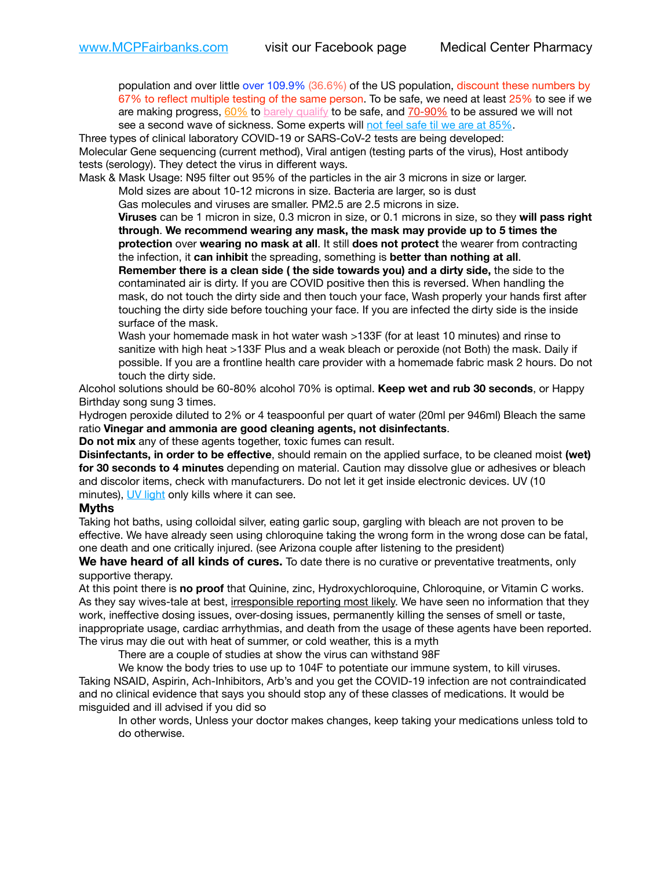population and over little over 109.9% (36.6%) of the US population, discount these numbers by 67% to reflect multiple testing of the same person. To be safe, we need at least 25% to see if we are making progress,  $60\%$  to [barely qualify](https://www.nature.com/articles/d41586-020-02948-4) to be safe, and  $70-90\%$  to be assured we will not see a second wave of sickness. Some experts will [not feel safe til we are at 85%.](https://www.bannerhealth.com/healthcareblog/teach-me/what-is-herd-immunity)

Three types of clinical laboratory COVID-19 or SARS-CoV-2 tests are being developed: Molecular Gene sequencing (current method), Viral antigen (testing parts of the virus), Host antibody tests (serology). They detect the virus in different ways.

Mask & Mask Usage: N95 filter out 95% of the particles in the air 3 microns in size or larger.

Mold sizes are about 10-12 microns in size. Bacteria are larger, so is dust

Gas molecules and viruses are smaller. PM2.5 are 2.5 microns in size.

**Viruses** can be 1 micron in size, 0.3 micron in size, or 0.1 microns in size, so they **will pass right through**. **We recommend wearing any mask, the mask may provide up to 5 times the protection** over **wearing no mask at all**. It still **does not protect** the wearer from contracting the infection, it **can inhibit** the spreading, something is **better than nothing at all**.

**Remember there is a clean side ( the side towards you) and a dirty side,** the side to the contaminated air is dirty. If you are COVID positive then this is reversed. When handling the mask, do not touch the dirty side and then touch your face, Wash properly your hands first after touching the dirty side before touching your face. If you are infected the dirty side is the inside surface of the mask.

Wash your homemade mask in hot water wash >133F (for at least 10 minutes) and rinse to sanitize with high heat >133F Plus and a weak bleach or peroxide (not Both) the mask. Daily if possible. If you are a frontline health care provider with a homemade fabric mask 2 hours. Do not touch the dirty side.

Alcohol solutions should be 60-80% alcohol 70% is optimal. **Keep wet and rub 30 seconds**, or Happy Birthday song sung 3 times.

Hydrogen peroxide diluted to 2% or 4 teaspoonful per quart of water (20ml per 946ml) Bleach the same ratio **Vinegar and ammonia are good cleaning agents, not disinfectants**.

**Do not mix** any of these agents together, toxic fumes can result.

**Disinfectants, in order to be effective**, should remain on the applied surface, to be cleaned moist **(wet) for 30 seconds to 4 minutes** depending on material. Caution may dissolve glue or adhesives or bleach and discolor items, check with manufacturers. Do not let it get inside electronic devices. UV (10 minutes), [UV light](http://www.docreviews.me/best-uv-boxes-2020/?fbclid=IwAR3bvFtXB48OoBBSvYvTEnKuHNPbipxM6jUo82QUSw9wckxjC7wwRZWabGw) only kills where it can see.

## **Myths**

Taking hot baths, using colloidal silver, eating garlic soup, gargling with bleach are not proven to be effective. We have already seen using chloroquine taking the wrong form in the wrong dose can be fatal, one death and one critically injured. (see Arizona couple after listening to the president)

**We have heard of all kinds of cures.** To date there is no curative or preventative treatments, only supportive therapy.

At this point there is **no proof** that Quinine, zinc, Hydroxychloroquine, Chloroquine, or Vitamin C works. As they say wives-tale at best, irresponsible reporting most likely. We have seen no information that they work, ineffective dosing issues, over-dosing issues, permanently killing the senses of smell or taste, inappropriate usage, cardiac arrhythmias, and death from the usage of these agents have been reported. The virus may die out with heat of summer, or cold weather, this is a myth

There are a couple of studies at show the virus can withstand 98F

We know the body tries to use up to 104F to potentiate our immune system, to kill viruses. Taking NSAID, Aspirin, Ach-Inhibitors, Arb's and you get the COVID-19 infection are not contraindicated and no clinical evidence that says you should stop any of these classes of medications. It would be misguided and ill advised if you did so

In other words, Unless your doctor makes changes, keep taking your medications unless told to do otherwise.